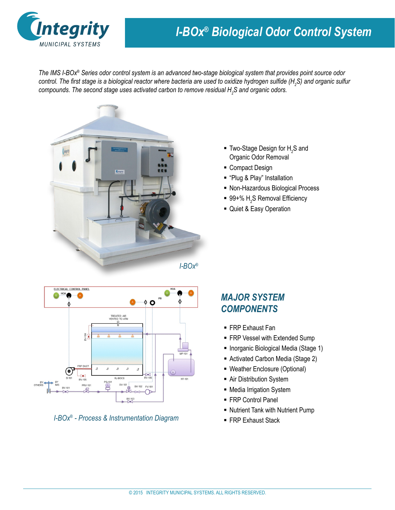

## *I-BOx® Biological Odor Control System*

*The IMS I-BOx® Series odor control system is an advanced two-stage biological system that provides point source odor control. The first stage is a biological reactor where bacteria are used to oxidize hydrogen sulfide (H<sup>2</sup> S) and organic sulfur compounds. The second stage uses activated carbon to remove residual H<sup>2</sup> S and organic odors.*



- **Two-Stage Design for**  $H_2S$  **and** Organic Odor Removal
- Compact Design
- "Plug & Play" Installation
- Non-Hazardous Biological Process
- 99+%  $\mathsf{H}_2$ S Removal Efficiency
- Quiet & Easy Operation



FRP Exhaust Stack *I-BOx® - Process & Instrumentation Diagram* 

#### *MAJOR SYSTEM COMPONENTS*

- FRP Exhaust Fan
- FRP Vessel with Extended Sump
- **Inorganic Biological Media (Stage 1)**
- Activated Carbon Media (Stage 2)
- Weather Enclosure (Optional)
- **-** Air Distribution System
- Media Irrigation System
- FRP Control Panel
- Nutrient Tank with Nutrient Pump
-